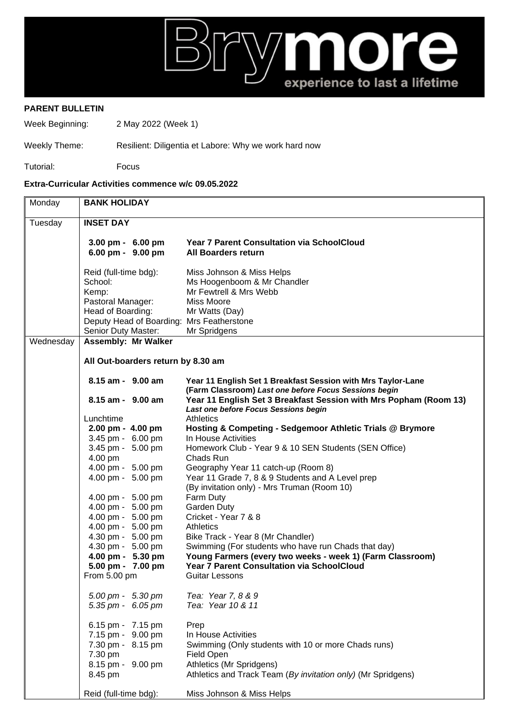

## **PARENT BULLETIN**

Week Beginning: 2 May 2022 (Week 1)

## Weekly Theme: Resilient: Diligentia et Labore: Why we work hard now

Tutorial: Focus

## **Extra-Curricular Activities commence w/c 09.05.2022**

| Monday    | <b>BANK HOLIDAY</b>                                              |                                                                                                                       |  |
|-----------|------------------------------------------------------------------|-----------------------------------------------------------------------------------------------------------------------|--|
| Tuesday   | <b>INSET DAY</b>                                                 |                                                                                                                       |  |
|           | $3.00 \text{ pm} - 6.00 \text{ pm}$<br>6.00 pm - 9.00 pm         | <b>Year 7 Parent Consultation via SchoolCloud</b><br><b>All Boarders return</b>                                       |  |
|           | Reid (full-time bdg):<br>School:<br>Kemp:                        | Miss Johnson & Miss Helps<br>Ms Hoogenboom & Mr Chandler<br>Mr Fewtrell & Mrs Webb                                    |  |
|           | Pastoral Manager:<br>Head of Boarding:                           | Miss Moore<br>Mr Watts (Day)                                                                                          |  |
|           | Deputy Head of Boarding: Mrs Featherstone                        |                                                                                                                       |  |
|           | Senior Duty Master:                                              | Mr Spridgens                                                                                                          |  |
| Wednesday | <b>Assembly: Mr Walker</b><br>All Out-boarders return by 8.30 am |                                                                                                                       |  |
|           |                                                                  |                                                                                                                       |  |
|           | 8.15 am - 9.00 am                                                | Year 11 English Set 1 Breakfast Session with Mrs Taylor-Lane<br>(Farm Classroom) Last one before Focus Sessions begin |  |
|           | 8.15 am - 9.00 am                                                | Year 11 English Set 3 Breakfast Session with Mrs Popham (Room 13)<br>Last one before Focus Sessions begin             |  |
|           | Lunchtime                                                        | <b>Athletics</b>                                                                                                      |  |
|           | 2.00 pm - 4.00 pm                                                | Hosting & Competing - Sedgemoor Athletic Trials @ Brymore                                                             |  |
|           | 3.45 pm - 6.00 pm                                                | In House Activities                                                                                                   |  |
|           | 3.45 pm - 5.00 pm                                                | Homework Club - Year 9 & 10 SEN Students (SEN Office)                                                                 |  |
|           | 4.00 pm                                                          | Chads Run                                                                                                             |  |
|           | 4.00 pm - 5.00 pm                                                | Geography Year 11 catch-up (Room 8)                                                                                   |  |
|           | 4.00 pm - 5.00 pm                                                | Year 11 Grade 7, 8 & 9 Students and A Level prep<br>(By invitation only) - Mrs Truman (Room 10)                       |  |
|           | 4.00 pm - 5.00 pm                                                | Farm Duty                                                                                                             |  |
|           | 4.00 pm - 5.00 pm                                                | Garden Duty                                                                                                           |  |
|           | 4.00 pm - 5.00 pm                                                | Cricket - Year 7 & 8                                                                                                  |  |
|           | 4.00 pm - 5.00 pm                                                | Athletics                                                                                                             |  |
|           | 4.30 pm - 5.00 pm<br>4.30 pm - 5.00 pm                           | Bike Track - Year 8 (Mr Chandler)<br>Swimming (For students who have run Chads that day)                              |  |
|           | 4.00 pm - 5.30 pm                                                | Young Farmers (every two weeks - week 1) (Farm Classroom)                                                             |  |
|           | 5.00 pm - 7.00 pm                                                | <b>Year 7 Parent Consultation via SchoolCloud</b>                                                                     |  |
|           | From 5.00 pm                                                     | Guitar Lessons                                                                                                        |  |
|           | 5.00 pm - 5.30 pm                                                | Tea: Year 7, 8 & 9                                                                                                    |  |
|           | 5.35 pm - 6.05 pm                                                | Tea: Year 10 & 11                                                                                                     |  |
|           | 6.15 pm - 7.15 pm                                                | Prep                                                                                                                  |  |
|           | 7.15 pm - 9.00 pm                                                | In House Activities                                                                                                   |  |
|           | 7.30 pm - 8.15 pm                                                | Swimming (Only students with 10 or more Chads runs)                                                                   |  |
|           | 7.30 pm                                                          | Field Open                                                                                                            |  |
|           | 8.15 pm - 9.00 pm                                                | Athletics (Mr Spridgens)                                                                                              |  |
|           | 8.45 pm                                                          | Athletics and Track Team (By invitation only) (Mr Spridgens)                                                          |  |
|           | Reid (full-time bdg):                                            | Miss Johnson & Miss Helps                                                                                             |  |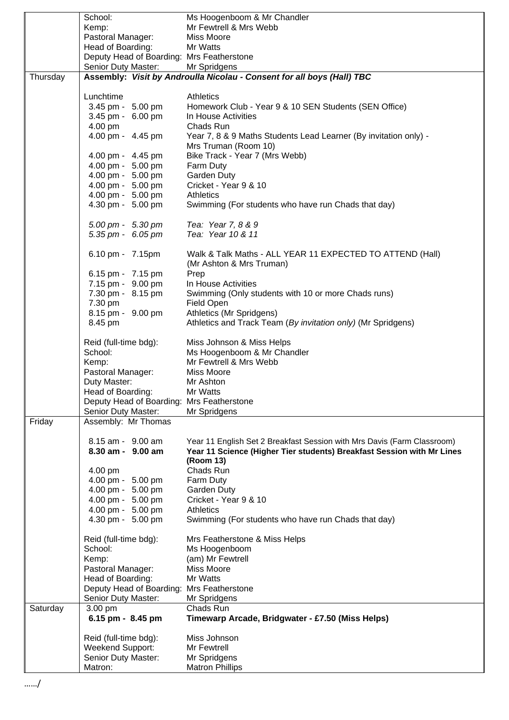|          | School:                                   | Ms Hoogenboom & Mr Chandler                                             |
|----------|-------------------------------------------|-------------------------------------------------------------------------|
|          | Kemp:                                     | Mr Fewtrell & Mrs Webb                                                  |
|          | Pastoral Manager:                         | Miss Moore                                                              |
|          | Head of Boarding:                         | Mr Watts                                                                |
|          | Deputy Head of Boarding: Mrs Featherstone |                                                                         |
|          | Senior Duty Master: Mr Spridgens          |                                                                         |
| Thursday |                                           | Assembly: Visit by Androulla Nicolau - Consent for all boys (Hall) TBC  |
|          |                                           |                                                                         |
|          | Lunchtime                                 | <b>Athletics</b>                                                        |
|          | 3.45 pm - 5.00 pm                         | Homework Club - Year 9 & 10 SEN Students (SEN Office)                   |
|          | 3.45 pm - 6.00 pm                         | In House Activities                                                     |
|          | 4.00 pm                                   | Chads Run                                                               |
|          | 4.00 pm - 4.45 pm                         | Year 7, 8 & 9 Maths Students Lead Learner (By invitation only) -        |
|          |                                           | Mrs Truman (Room 10)                                                    |
|          | 4.00 pm - 4.45 pm                         | Bike Track - Year 7 (Mrs Webb)                                          |
|          | 4.00 pm - 5.00 pm<br>4.00 pm - 5.00 pm    | Farm Duty<br>Garden Duty                                                |
|          | 4.00 pm - 5.00 pm                         | Cricket - Year 9 & 10                                                   |
|          | 4.00 pm - 5.00 pm                         | <b>Athletics</b>                                                        |
|          | 4.30 pm - 5.00 pm                         | Swimming (For students who have run Chads that day)                     |
|          |                                           |                                                                         |
|          | 5.00 pm - 5.30 pm                         | Tea: Year 7, 8 & 9                                                      |
|          | $5.35 \, \text{pm}$ - 6.05 pm             | Tea: Year 10 & 11                                                       |
|          |                                           |                                                                         |
|          | 6.10 pm - 7.15pm                          | Walk & Talk Maths - ALL YEAR 11 EXPECTED TO ATTEND (Hall)               |
|          |                                           | (Mr Ashton & Mrs Truman)                                                |
|          | 6.15 pm - 7.15 pm                         | Prep                                                                    |
|          | 7.15 pm - 9.00 pm                         | In House Activities                                                     |
|          | 7.30 pm - 8.15 pm                         | Swimming (Only students with 10 or more Chads runs)                     |
|          | 7.30 pm                                   | Field Open                                                              |
|          | 8.15 pm - 9.00 pm                         | Athletics (Mr Spridgens)                                                |
|          | 8.45 pm                                   | Athletics and Track Team (By invitation only) (Mr Spridgens)            |
|          | Reid (full-time bdg):                     | Miss Johnson & Miss Helps                                               |
|          | School:                                   | Ms Hoogenboom & Mr Chandler                                             |
|          | Kemp:                                     | Mr Fewtrell & Mrs Webb                                                  |
|          | Pastoral Manager:                         | Miss Moore                                                              |
|          | Duty Master:                              | Mr Ashton                                                               |
|          | Head of Boarding:                         | Mr Watts                                                                |
|          | Deputy Head of Boarding: Mrs Featherstone |                                                                         |
|          | Senior Duty Master:                       | Mr Spridgens                                                            |
| Friday   | Assembly: Mr Thomas                       |                                                                         |
|          |                                           |                                                                         |
|          | 8.15 am - 9.00 am                         | Year 11 English Set 2 Breakfast Session with Mrs Davis (Farm Classroom) |
|          | 8.30 am - 9.00 am                         | Year 11 Science (Higher Tier students) Breakfast Session with Mr Lines  |
|          |                                           | (Room 13)                                                               |
|          | 4.00 pm<br>4.00 pm - 5.00 pm              | Chads Run                                                               |
|          | 4.00 pm - 5.00 pm                         | Farm Duty<br>Garden Duty                                                |
|          | 4.00 pm - 5.00 pm                         | Cricket - Year 9 & 10                                                   |
|          | 4.00 pm - 5.00 pm                         | <b>Athletics</b>                                                        |
|          | 4.30 pm - 5.00 pm                         | Swimming (For students who have run Chads that day)                     |
|          |                                           |                                                                         |
|          | Reid (full-time bdg):                     | Mrs Featherstone & Miss Helps                                           |
|          | School:                                   | Ms Hoogenboom                                                           |
|          | Kemp:                                     | (am) Mr Fewtrell                                                        |
|          | Pastoral Manager:                         | Miss Moore                                                              |
|          | Head of Boarding:                         | Mr Watts                                                                |
|          | Deputy Head of Boarding:                  | <b>Mrs Featherstone</b>                                                 |
|          | Senior Duty Master:                       | Mr Spridgens                                                            |
| Saturday | 3.00 pm                                   | Chads Run                                                               |
|          | 6.15 pm - 8.45 pm                         | Timewarp Arcade, Bridgwater - £7.50 (Miss Helps)                        |
|          |                                           | Miss Johnson                                                            |
|          | Reid (full-time bdg):<br>Weekend Support: | Mr Fewtrell                                                             |
|          | Senior Duty Master:                       | Mr Spridgens                                                            |
|          | Matron:                                   | <b>Matron Phillips</b>                                                  |
|          |                                           |                                                                         |